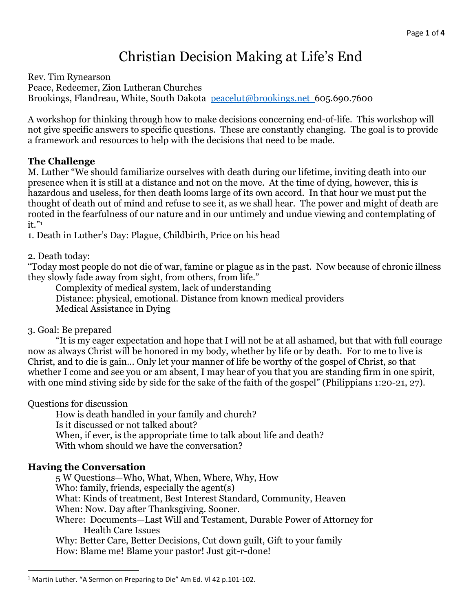# Christian Decision Making at Life's End

Rev. Tim Rynearson Peace, Redeemer, Zion Lutheran Churches Brookings, Flandreau, White, South Dakota peacelut@brookings.net 605.690.7600

A workshop for thinking through how to make decisions concerning end-of-life. This workshop will not give specific answers to specific questions. These are constantly changing. The goal is to provide a framework and resources to help with the decisions that need to be made.

## The Challenge

M. Luther "We should familiarize ourselves with death during our lifetime, inviting death into our presence when it is still at a distance and not on the move. At the time of dying, however, this is hazardous and useless, for then death looms large of its own accord. In that hour we must put the thought of death out of mind and refuse to see it, as we shall hear. The power and might of death are rooted in the fearfulness of our nature and in our untimely and undue viewing and contemplating of  $it.$ "

1. Death in Luther's Day: Plague, Childbirth, Price on his head

2. Death today:

"Today most people do not die of war, famine or plague as in the past. Now because of chronic illness they slowly fade away from sight, from others, from life."

 Complexity of medical system, lack of understanding Distance: physical, emotional. Distance from known medical providers Medical Assistance in Dying

3. Goal: Be prepared

 "It is my eager expectation and hope that I will not be at all ashamed, but that with full courage now as always Christ will be honored in my body, whether by life or by death. For to me to live is Christ, and to die is gain… Only let your manner of life be worthy of the gospel of Christ, so that whether I come and see you or am absent, I may hear of you that you are standing firm in one spirit, with one mind stiving side by side for the sake of the faith of the gospel" (Philippians 1:20-21, 27).

Questions for discussion

How is death handled in your family and church? Is it discussed or not talked about? When, if ever, is the appropriate time to talk about life and death? With whom should we have the conversation?

# Having the Conversation

5 W Questions—Who, What, When, Where, Why, How Who: family, friends, especially the agent(s) What: Kinds of treatment, Best Interest Standard, Community, Heaven When: Now. Day after Thanksgiving. Sooner. Where: Documents—Last Will and Testament, Durable Power of Attorney for Health Care Issues Why: Better Care, Better Decisions, Cut down guilt, Gift to your family How: Blame me! Blame your pastor! Just git-r-done!

<sup>&</sup>lt;sup>1</sup> Martin Luther. "A Sermon on Preparing to Die" Am Ed. VI 42 p.101-102.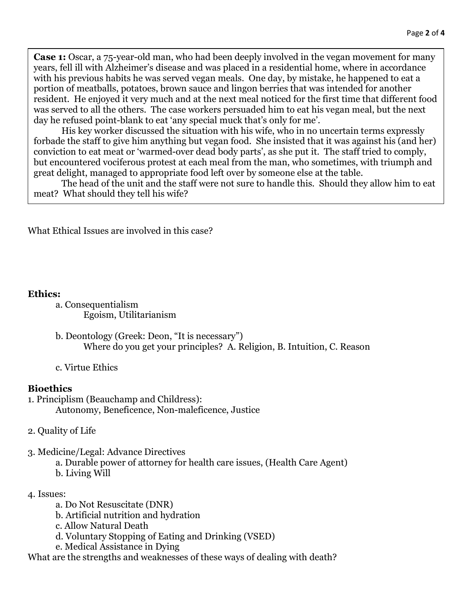Case 1: Oscar, a 75-year-old man, who had been deeply involved in the vegan movement for many years, fell ill with Alzheimer's disease and was placed in a residential home, where in accordance with his previous habits he was served vegan meals. One day, by mistake, he happened to eat a portion of meatballs, potatoes, brown sauce and lingon berries that was intended for another resident. He enjoyed it very much and at the next meal noticed for the first time that different food was served to all the others. The case workers persuaded him to eat his vegan meal, but the next day he refused point-blank to eat 'any special muck that's only for me'.

 His key worker discussed the situation with his wife, who in no uncertain terms expressly forbade the staff to give him anything but vegan food. She insisted that it was against his (and her) conviction to eat meat or 'warmed-over dead body parts', as she put it. The staff tried to comply, but encountered vociferous protest at each meal from the man, who sometimes, with triumph and great delight, managed to appropriate food left over by someone else at the table.

 The head of the unit and the staff were not sure to handle this. Should they allow him to eat meat? What should they tell his wife?

What Ethical Issues are involved in this case?

#### Ethics:

- a. Consequentialism Egoism, Utilitarianism
- b. Deontology (Greek: Deon, "It is necessary") Where do you get your principles? A. Religion, B. Intuition, C. Reason
- c. Virtue Ethics

#### **Bioethics**

- 1. Principlism (Beauchamp and Childress): Autonomy, Beneficence, Non-maleficence, Justice
- 2. Quality of Life
- 3. Medicine/Legal: Advance Directives
	- a. Durable power of attorney for health care issues, (Health Care Agent)
	- b. Living Will

#### 4. Issues:

- a. Do Not Resuscitate (DNR)
- b. Artificial nutrition and hydration
- c. Allow Natural Death
- d. Voluntary Stopping of Eating and Drinking (VSED)
- e. Medical Assistance in Dying

What are the strengths and weaknesses of these ways of dealing with death?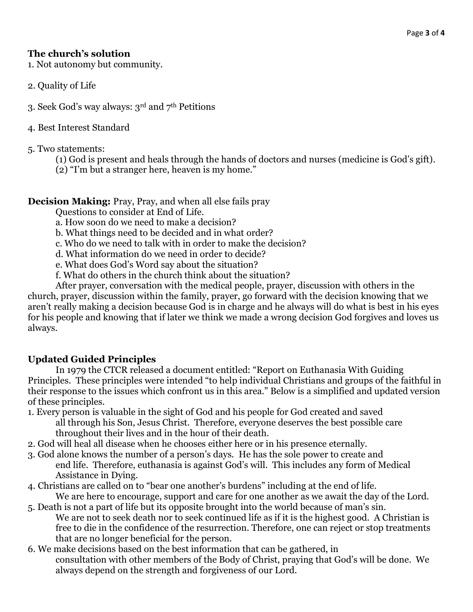### The church's solution

1. Not autonomy but community.

- 2. Quality of Life
- 3. Seek God's way always: 3rd and 7th Petitions
- 4. Best Interest Standard
- 5. Two statements:
	- (1) God is present and heals through the hands of doctors and nurses (medicine is God's gift).
	- (2) "I'm but a stranger here, heaven is my home."

Decision Making: Pray, Pray, and when all else fails pray

Questions to consider at End of Life.

a. How soon do we need to make a decision?

- b. What things need to be decided and in what order?
- c. Who do we need to talk with in order to make the decision?
- d. What information do we need in order to decide?
- e. What does God's Word say about the situation?
- f. What do others in the church think about the situation?

 After prayer, conversation with the medical people, prayer, discussion with others in the church, prayer, discussion within the family, prayer, go forward with the decision knowing that we aren't really making a decision because God is in charge and he always will do what is best in his eyes for his people and knowing that if later we think we made a wrong decision God forgives and loves us always.

## Updated Guided Principles

 In 1979 the CTCR released a document entitled: "Report on Euthanasia With Guiding Principles. These principles were intended "to help individual Christians and groups of the faithful in their response to the issues which confront us in this area." Below is a simplified and updated version of these principles.

- 1. Every person is valuable in the sight of God and his people for God created and saved all through his Son, Jesus Christ. Therefore, everyone deserves the best possible care throughout their lives and in the hour of their death.
- 2. God will heal all disease when he chooses either here or in his presence eternally.
- 3. God alone knows the number of a person's days. He has the sole power to create and end life. Therefore, euthanasia is against God's will. This includes any form of Medical Assistance in Dying.
- 4. Christians are called on to "bear one another's burdens" including at the end of life. We are here to encourage, support and care for one another as we await the day of the Lord.
- 5. Death is not a part of life but its opposite brought into the world because of man's sin. We are not to seek death nor to seek continued life as if it is the highest good. A Christian is free to die in the confidence of the resurrection. Therefore, one can reject or stop treatments that are no longer beneficial for the person.
- 6. We make decisions based on the best information that can be gathered, in consultation with other members of the Body of Christ, praying that God's will be done. We always depend on the strength and forgiveness of our Lord.